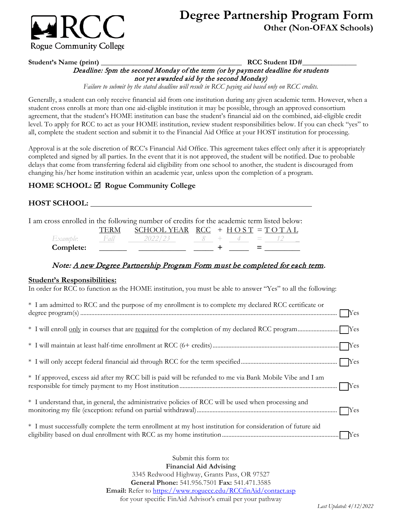

# **Degree Partnership Program Form Other (Non-OFAX Schools)**

#### Deadline: 5pm the second Monday of the term (or by payment deadline for students **Student's Name (print) \_\_\_\_\_\_\_\_\_\_\_\_\_\_\_\_\_\_\_\_\_\_\_\_\_\_\_\_\_\_\_\_\_\_\_\_\_\_\_ RCC Student ID#\_\_\_\_\_\_\_\_\_\_\_\_\_\_\_**  not yet awarded aid by the second Monday)

*Failure to submit by the stated deadline will result in RCC paying aid based only on RCC credits.* 

 student cross enrolls at more than one aid-eligible institution it may be possible, through an approved consortium level. To apply for RCC to act as your HOME institution, review student responsibilities below. If you can check "yes" to all, complete the student section and submit it to the Financial Aid Office at your HOST institution for processing. Generally, a student can only receive financial aid from one institution during any given academic term. However, when a agreement, that the student's HOME institution can base the student's financial aid on the combined, aid-eligible credit

 delays that come from transferring federal aid eligibility from one school to another, the student is discouraged from Approval is at the sole discretion of RCC's Financial Aid Office. This agreement takes effect only after it is appropriately completed and signed by all parties. In the event that it is not approved, the student will be notified. Due to probable changing his/her home institution within an academic year, unless upon the completion of a program.

# **HOME SCHOOL: Rogue Community College**

## **HOST SCHOOL:**

I am cross enrolled in the following number of credits for the academic term listed below:

|           | SCHOOL YEAR $RCC + HOST = TOTAL$ |  |  |  |
|-----------|----------------------------------|--|--|--|
| Example:  | 2022/23                          |  |  |  |
| Complete: |                                  |  |  |  |

### Note: A new Degree Partnership Program Form must be completed for each term.

#### **Student's Responsibilities:**

In order for RCC to function as the HOME institution, you must be able to answer "Yes" to all the following:

| * I am admitted to RCC and the purpose of my enrollment is to complete my declared RCC certificate or     |
|-----------------------------------------------------------------------------------------------------------|
|                                                                                                           |
|                                                                                                           |
|                                                                                                           |
| * If approved, excess aid after my RCC bill is paid will be refunded to me via Bank Mobile Vibe and I am  |
| * I understand that, in general, the administrative policies of RCC will be used when processing and      |
| * I must successfully complete the term enrollment at my host institution for consideration of future aid |

 3345 Redwood Highway, Grants Pass, OR 97527 **General Phone:** 541.956.7501 **Fax:** 541.471.3585 Submit this form to: **Financial Aid Advising Email:** Refer to<https://www.roguecc.edu/RCCfinAid/contact.asp> for your specific FinAid Advisor's email per your pathway